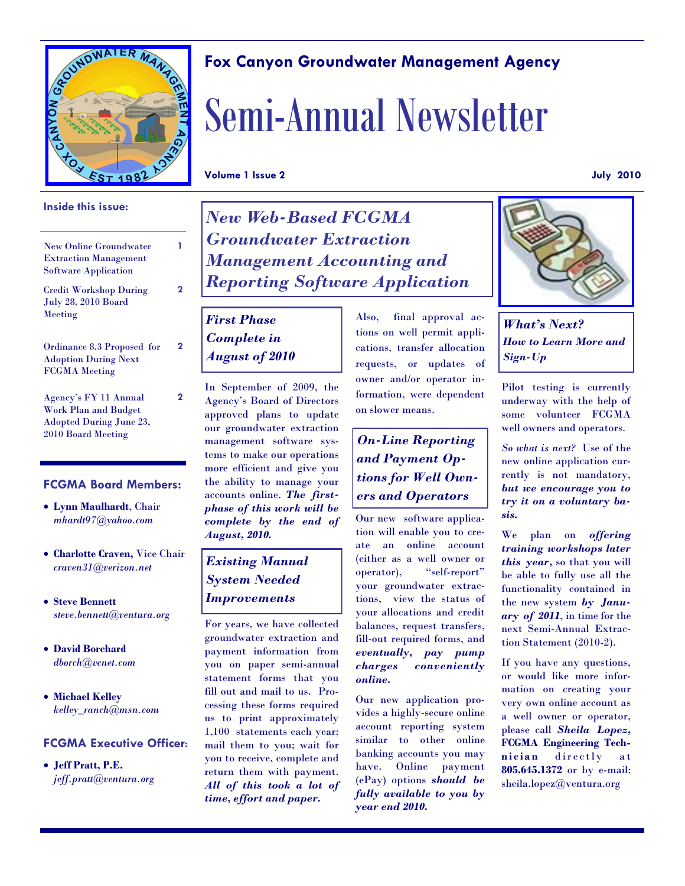

#### **Inside this issue:**

New Online Groundwater Extraction Management Software Application

Credit Workshop During July 28, 2010 Board Meeting

Ordinance 8.3 Proposed for Adoption During Next FCGMA Meeting

Agency's FY 11 Annual Work Plan and Budget Adopted During June 23, 2010 Board Meeting

#### **FCGMA Board Members:**

- **Lynn Maulhardt**, Chair *mhardt97@yahoo.com*
- **Charlotte Craven,** Vice Chair *craven31@verizon.net*
- **Steve Bennett** *steve.bennett@ventura.org*
- **David Borchard** *dborch@vcnet.com*
- **Michael Kelley** *kelley\_ranch@msn.com*

#### **FCGMA Executive Officer:**

 **Jeff Pratt, P.E.** *jeff.pratt@ventura.org*

# *New Web-Based FCGMA Groundwater Extraction Management Accounting and Reporting Software Application*

### *First Phase Complete in August of 2010*

In September of 2009, the Agency's Board of Directors approved plans to update our groundwater extraction management software systems to make our operations more efficient and give you the ability to manage your accounts online. *The firstphase of this work will be complete by the end of August, 2010.* 

#### *Existing Manual System Needed Improvements*

For years, we have collected groundwater extraction and payment information from you on paper semi-annual statement forms that you fill out and mail to us. Processing these forms required us to print approximately 1,100 statements each year; mail them to you; wait for you to receive, complete and return them with payment. *All of this took a lot of time, effort and paper.*

Also, final approval actions on well permit applications, transfer allocation requests, or updates of owner and/or operator information, were dependent on slower means.

## *On-Line Reporting and Payment Options for Well Owners and Operators*

Our new software application will enable you to create an online account (either as a well owner or operator), "self-report" your groundwater extractions, view the status of your allocations and credit balances, request transfers, fill-out required forms, and *eventually, pay pump charges conveniently online.* 

Our new application provides a highly-secure online account reporting system similar to other online banking accounts you may have. Online payment (ePay) options *should be fully available to you by year end 2010.*



*What's Next? How to Learn More and Sign-Up*

Pilot testing is currently underway with the help of some volunteer FCGMA well owners and operators.

*So what is next?* Use of the new online application currently is not mandatory, *but we encourage you to try it on a voluntary basis.* 

We plan on *offering training workshops later this year,* so that you will be able to fully use all the functionality contained in the new system *by January of 2011*, in time for the next Semi-Annual Extraction Statement (2010-2).

If you have any questions, or would like more information on creating your very own online account as a well owner or operator, please call *Sheila Lopez,*  **FCGMA Engineering Tech**nician directly at **805.645.1372** or by e-mail: sheila.lopez@ventura.org

## **Fox Canyon Groundwater Management Agency**

# Semi-Annual Newsletter

**Volume 1 Issue 2 July 2010**

**1**

**2**

**2**

**2**